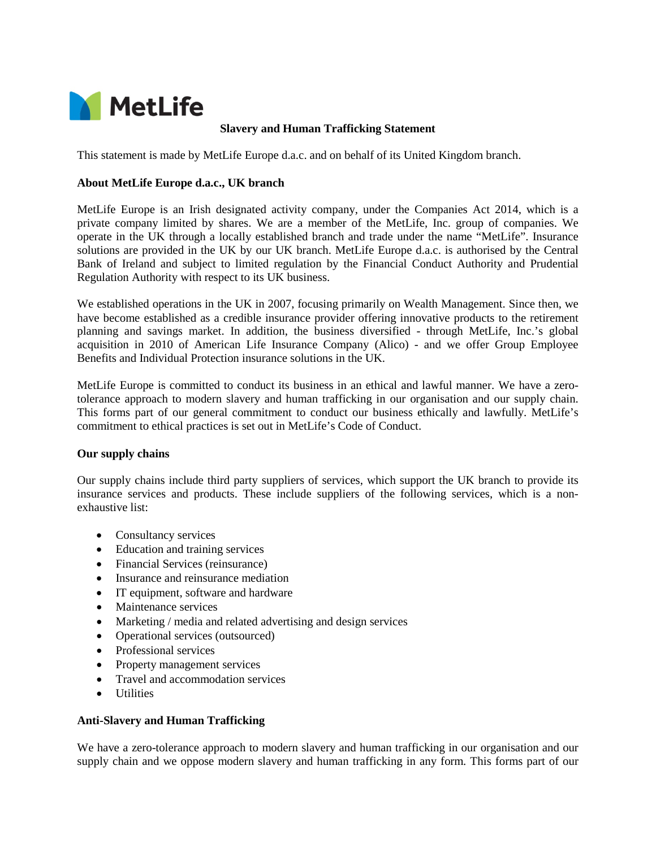

## **Slavery and Human Trafficking Statement**

This statement is made by MetLife Europe d.a.c. and on behalf of its United Kingdom branch.

# **About MetLife Europe d.a.c., UK branch**

MetLife Europe is an Irish designated activity company, under the Companies Act 2014, which is a private company limited by shares. We are a member of the MetLife, Inc. group of companies. We operate in the UK through a locally established branch and trade under the name "MetLife". Insurance solutions are provided in the UK by our UK branch. MetLife Europe d.a.c. is authorised by the Central Bank of Ireland and subject to limited regulation by the Financial Conduct Authority and Prudential Regulation Authority with respect to its UK business.

We established operations in the UK in 2007, focusing primarily on Wealth Management. Since then, we have become established as a credible insurance provider offering innovative products to the retirement planning and savings market. In addition, the business diversified - through MetLife, Inc.'s global acquisition in 2010 of American Life Insurance Company (Alico) - and we offer Group Employee Benefits and Individual Protection insurance solutions in the UK.

MetLife Europe is committed to conduct its business in an ethical and lawful manner. We have a zerotolerance approach to modern slavery and human trafficking in our organisation and our supply chain. This forms part of our general commitment to conduct our business ethically and lawfully. MetLife's commitment to ethical practices is set out in MetLife's Code of Conduct.

## **Our supply chains**

Our supply chains include third party suppliers of services, which support the UK branch to provide its insurance services and products. These include suppliers of the following services, which is a nonexhaustive list:

- Consultancy services
- Education and training services
- Financial Services (reinsurance)
- Insurance and reinsurance mediation
- IT equipment, software and hardware
- Maintenance services
- Marketing / media and related advertising and design services
- Operational services (outsourced)
- Professional services
- Property management services
- Travel and accommodation services
- Utilities

### **Anti-Slavery and Human Trafficking**

We have a zero-tolerance approach to modern slavery and human trafficking in our organisation and our supply chain and we oppose modern slavery and human trafficking in any form. This forms part of our